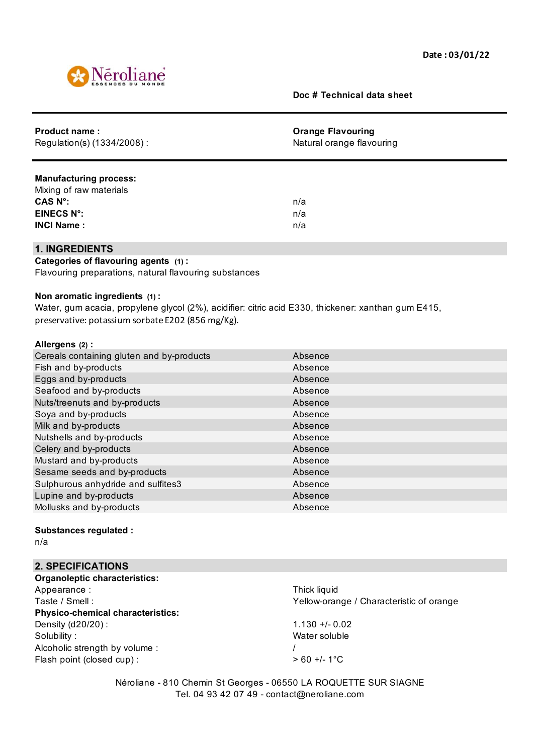

### **Doc # Technical data sheet**

| Product name:<br>Regulation(s) (1334/2008) : | <b>Orange Flavouring</b><br>Natural orange flavouring |  |
|----------------------------------------------|-------------------------------------------------------|--|
|                                              |                                                       |  |
| <b>Manufacturing process:</b>                |                                                       |  |
| Mixing of raw materials                      |                                                       |  |
| CAS N°:                                      | n/a                                                   |  |
| <b>EINECS N°:</b>                            | n/a                                                   |  |
| <b>INCI Name:</b>                            | n/a                                                   |  |
| 1. INGREDIENTS                               |                                                       |  |

### **Categories of flavouring agents (1) :**

Flavouring preparations, natural flavouring substances

#### **Non aromatic ingredients (1) :**

Water, gum acacia, propylene glycol (2%), acidifier: citric acid E330, thickener: xanthan gum E415, preservative: potassium sorbate E202 (856 mg/Kg).

#### **Allergens (2) :**

| Cereals containing gluten and by-products | Absence |
|-------------------------------------------|---------|
| Fish and by-products                      | Absence |
| Eggs and by-products                      | Absence |
| Seafood and by-products                   | Absence |
| Nuts/treenuts and by-products             | Absence |
| Soya and by-products                      | Absence |
| Milk and by-products                      | Absence |
| Nutshells and by-products                 | Absence |
| Celery and by-products                    | Absence |
| Mustard and by-products                   | Absence |
| Sesame seeds and by-products              | Absence |
| Sulphurous anhydride and sulfites3        | Absence |
| Lupine and by-products                    | Absence |
| Mollusks and by-products                  | Absence |
|                                           |         |

#### **Substances regulated :**

n/a

# **2. SPECIFICATIONS**

| <b>Organoleptic characteristics:</b>     |                                          |
|------------------------------------------|------------------------------------------|
| Appearance:                              | Thick liquid                             |
| Taste / Smell:                           | Yellow-orange / Characteristic of orange |
| <b>Physico-chemical characteristics:</b> |                                          |
| Density (d20/20) :                       | $1.130 + 0.02$                           |
| Solubility:                              | Water soluble                            |
| Alcoholic strength by volume:            |                                          |
| Flash point (closed cup):                | $> 60 +/- 1$ °C                          |
|                                          |                                          |

Néroliane - 810 Chemin St Georges - 06550 LA ROQUETTE SUR SIAGNE Tel. 04 93 42 07 49 - contact@neroliane.com